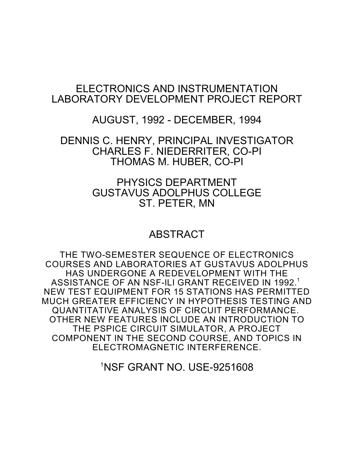# ELECTRONICS AND INSTRUMENTATION LABORATORY DEVELOPMENT PROJECT REPORT

AUGUST, 1992 - DECEMBER, 1994

DENNIS C. HENRY, PRINCIPAL INVESTIGATOR CHARLES F. NIEDERRITER, CO-PI THOMAS M. HUBER, CO-PI

> PHYSICS DEPARTMENT GUSTAVUS ADOLPHUS COLLEGE ST. PETER, MN

# ABSTRACT

THE TWO-SEMESTER SEQUENCE OF ELECTRONICS COURSES AND LABORATORIES AT GUSTAVUS ADOLPHUS HAS UNDERGONE A REDEVELOPMENT WITH THE ASSISTANCE OF AN NSF-ILI GRANT RECEIVED IN 1992. 1 NEW TEST EQUIPMENT FOR 15 STATIONS HAS PERMITTED MUCH GREATER EFFICIENCY IN HYPOTHESIS TESTING AND QUANTITATIVE ANALYSIS OF CIRCUIT PERFORMANCE. OTHER NEW FEATURES INCLUDE AN INTRODUCTION TO THE PSPICE CIRCUIT SIMULATOR, A PROJECT COMPONENT IN THE SECOND COURSE, AND TOPICS IN ELECTROMAGNETIC INTERFERENCE.

<sup>1</sup>NSF GRANT NO. USE-9251608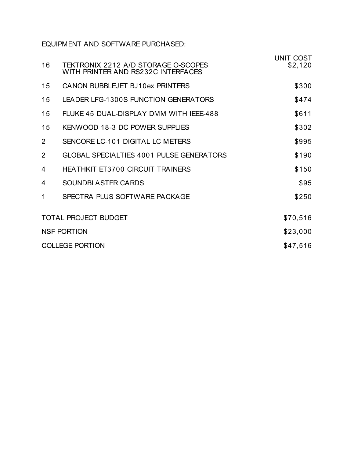EQUIPMENT AND SOFTWARE PURCHASED:

|                             |                                                                           | UNIT COST |
|-----------------------------|---------------------------------------------------------------------------|-----------|
| 16                          | TEKTRONIX 2212 A/D STORAGE O-SCOPES<br>WITH PRINTER AND RS232C INTERFACES | \$2,120   |
| 15                          | CANON BUBBLEJET BJ10ex PRINTERS                                           | \$300     |
| 15                          | LEADER LFG-1300S FUNCTION GENERATORS                                      | \$474     |
| 15                          | FLUKE 45 DUAL-DISPLAY DMM WITH IEEE-488                                   | \$611     |
| 15                          | KENWOOD 18-3 DC POWER SUPPLIES                                            | \$302     |
| 2                           | SENCORE LC-101 DIGITAL LC METERS                                          | \$995     |
| 2                           | <b>GLOBAL SPECIALTIES 4001 PULSE GENERATORS</b>                           | \$190     |
| 4                           | <b>HEATHKIT ET3700 CIRCUIT TRAINERS</b>                                   | \$150     |
| $\overline{4}$              | SOUNDBLASTER CARDS                                                        | \$95      |
| 1                           | SPECTRA PLUS SOFTWARE PACKAGE                                             | \$250     |
| <b>TOTAL PROJECT BUDGET</b> |                                                                           | \$70,516  |
| <b>NSF PORTION</b>          |                                                                           | \$23,000  |
| <b>COLLEGE PORTION</b>      |                                                                           | \$47,516  |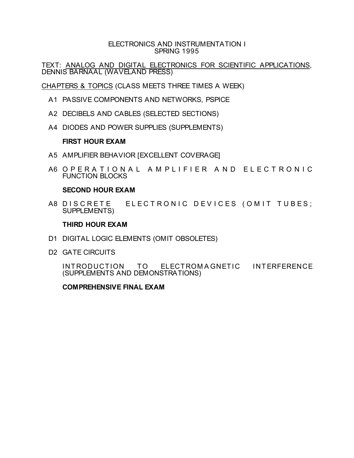### ELECTRONICS AND INSTRUMENTATION I SPRING 1995

TEXT: ANALOG AND DIGITAL ELECTRONICS FOR SCIENTIFIC APPLICATIONS, DENNIS BARNAAL (WAVELAND PRESS)

CHAPTERS & TOPICS (CLASS MEETS THREE TIMES A WEEK)

- A1 PASSIVE COMPONENTS AND NETWORKS, PSPICE
- A2 DECIBELS AND CABLES (SELECTED SECTIONS)
- A4 DIODES AND POWER SUPPLIES (SUPPLEMENTS)

### **FIRST HOUR EXAM**

- A5 AMPLIFIER BEHAVIOR [EXCELLENT COVERAGE]
- A6 O P E R A T I O N A L A M P L I F I E R A N D E L E C T R O N I C FUNCTION BLOCKS

### **SECOND HOUR EXAM**

A8 DISCRETE ELECTRONIC DEVICES (OMIT TUBES; SUPPLEMENTS)

### **THIRD HOUR EXAM**

- D1 DIGITAL LOGIC ELEMENTS (OMIT OBSOLETES)
- D2 GATE CIRCUITS

INTRODUCTION TO ELECTROMAGNETIC INTERFERENCE (SUPPLEMENTS AND DEMONSTRATIONS)

### **COMPREHENSIVE FINAL EXAM**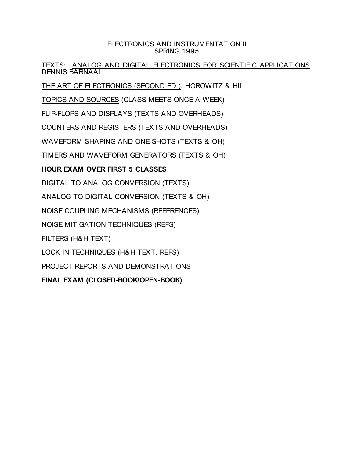### ELECTRONICS AND INSTRUMENTATION II SPRING 1995

TEXTS: ANALOG AND DIGITAL ELECTRONICS FOR SCIENTIFIC APPLICATIONS, DENNIS BARNAAL

THE ART OF ELECTRONICS (SECOND ED.), HOROWITZ & HILL

TOPICS AND SOURCES (CLASS MEETS ONCE A WEEK)

FLIP-FLOPS AND DISPLAYS (TEXTS AND OVERHEADS)

COUNTERS AND REGISTERS (TEXTS AND OVERHEADS)

WAVEFORM SHAPING AND ONE-SHOTS (TEXTS & OH)

TIMERS AND WAVEFORM GENERATORS (TEXTS & OH)

# **HOUR EXAM OVER FIRST 5 CLASSES**

DIGITAL TO ANALOG CONVERSION (TEXTS)

ANALOG TO DIGITAL CONVERSION (TEXTS & OH)

NOISE COUPLING MECHANISMS (REFERENCES)

NOISE MITIGATION TECHNIQUES (REFS)

FILTERS (H&H TEXT)

LOCK-IN TECHNIQUES (H&H TEXT, REFS)

PROJECT REPORTS AND DEMONSTRATIONS

**FINAL EXAM (CLOSED-BOOK/OPEN-BOOK)**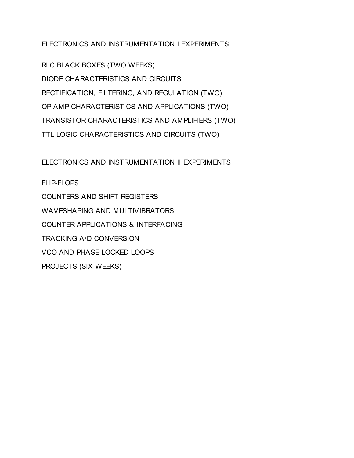## ELECTRONICS AND INSTRUMENTATION I EXPERIMENTS

RLC BLACK BOXES (TWO WEEKS) DIODE CHARACTERISTICS AND CIRCUITS RECTIFICATION, FILTERING, AND REGULATION (TWO) OP AMP CHARACTERISTICS AND APPLICATIONS (TWO) TRANSISTOR CHARACTERISTICS AND AMPLIFIERS (TWO) TTL LOGIC CHARACTERISTICS AND CIRCUITS (TWO)

### ELECTRONICS AND INSTRUMENTATION II EXPERIMENTS

FLIP-FLOPS COUNTERS AND SHIFT REGISTERS WAVESHAPING AND MULTIVIBRATORS COUNTER APPLICATIONS & INTERFACING TRACKING A/D CONVERSION VCO AND PHASE-LOCKED LOOPS PROJECTS (SIX WEEKS)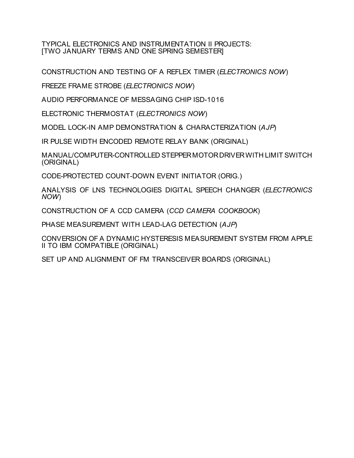TYPICAL ELECTRONICS AND INSTRUMENTATION II PROJECTS: [TWO JANUARY TERMS AND ONE SPRING SEMESTER]

CONSTRUCTION AND TESTING OF A REFLEX TIMER (*ELECTRONICS NOW*)

FREEZE FRAME STROBE (*ELECTRONICS NOW*)

AUDIO PERFORMANCE OF MESSAGING CHIP ISD-1016

ELECTRONIC THERMOSTAT (*ELECTRONICS NOW*)

MODEL LOCK-IN AMP DEMONSTRATION & CHARACTERIZATION (*AJP*)

IR PULSE WIDTH ENCODED REMOTE RELAY BANK (ORIGINAL)

MANUAL/COMPUTER-CONTROLLED STEPPER MOTOR DRIVER WITH LIMIT SWITCH (ORIGINAL)

CODE-PROTECTED COUNT-DOWN EVENT INITIATOR (ORIG.)

ANALYSIS OF LNS TECHNOLOGIES DIGITAL SPEECH CHANGER (*ELECTRONICS NOW*)

CONSTRUCTION OF A CCD CAMERA (*CCD CAMERA COOKBOOK*)

PHASE MEASUREMENT WITH LEAD-LAG DETECTION (*AJP*)

CONVERSION OF A DYNAMIC HYSTERESIS MEASUREMENT SYSTEM FROM APPLE II TO IBM COMPATIBLE (ORIGINAL)

SET UP AND ALIGNMENT OF FM TRANSCEIVER BOARDS (ORIGINAL)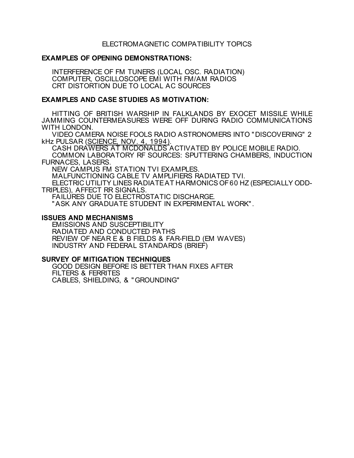### ELECTROMAGNETIC COMPATIBILITY TOPICS

### **EXAMPLES OF OPENING DEMONSTRATIONS:**

INTERFERENCE OF FM TUNERS (LOCAL OSC. RADIATION) COMPUTER, OSCILLOSCOPE EMI WITH FM/AM RADIOS CRT DISTORTION DUE TO LOCAL AC SOURCES

### **EXAMPLES AND CASE STUDIES AS MOTIVATION:**

HITTING OF BRITISH WARSHIP IN FALKLANDS BY EXOCET MISSILE WHILE JAMMING COUNTERMEASURES WERE OFF DURING RADIO COMMUNICATIONS WITH LONDON.

VIDEO CAMERA NOISE FOOLS RADIO ASTRONOMERS INTO "DISCOVERING" 2 kHz PULSAR (SCIENCE, NOV. 4, 1994).

CASH DRAWERS AT MCDONALDS ACTIVATED BY POLICE MOBILE RADIO. COMMON LABORATORY RF SOURCES: SPUTTERING CHAMBERS, INDUCTION FURNACES, LASERS.

NEW CAMPUS FM STATION TVI EXAMPLES.

MALFUNCTIONING CABLE TV AMPLIFIERS RADIATED TVI.

ELECTRIC UTILITY LINES RADIATEAT HARMONICS OF60 HZ (ESPECIALLY ODD-TRIPLES), AFFECT RR SIGNALS.

FAILURES DUE TO ELECTROSTATIC DISCHARGE.

"ASK ANY GRADUATE STUDENT IN EXPERIMENTAL WORK".

#### **ISSUES AND MECHANISMS**

EMISSIONS AND SUSCEPTIBILITY RADIATED AND CONDUCTED PATHS REVIEW OF NEAR E & B FIELDS & FAR-FIELD (EM WAVES) INDUSTRY AND FEDERAL STANDARDS (BRIEF)

#### **SURVEY OF MITIGATION TECHNIQUES**

GOOD DESIGN BEFORE IS BETTER THAN FIXES AFTER FILTERS & FERRITES CABLES, SHIELDING, & "GROUNDING"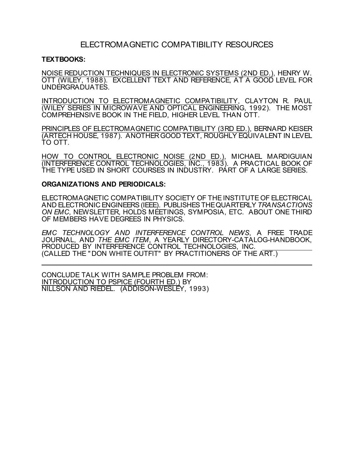## ELECTROMAGNETIC COMPATIBILITY RESOURCES

#### **TEXTBOOKS:**

NOISE REDUCTION TECHNIQUES IN ELECTRONIC SYSTEMS (2ND ED.), HENRY W. OTT (WILEY, 1988). EXCELLENT TEXT AND REFERENCE, AT A GOOD LEVEL FOR UNDERGRADUATES.

INTRODUCTION TO ELECTROMAGNETIC COMPATIBILITY, CLAYTON R. PAUL (WILEY SERIES IN MICROWAVE AND OPTICAL ENGINEERING, 1992). THE MOST COMPREHENSIVE BOOK IN THE FIELD, HIGHER LEVEL THAN OTT.

PRINCIPLES OF ELECTROMAGNETIC COMPATIBILITY (3RD ED.), BERNARD KEISER (ARTECH HOUSE, 1987). ANOTHERGOOD TEXT, ROUGHLY EQUIVALENT IN LEVEL TO OTT.

HOW TO CONTROL ELECTRONIC NOISE (2ND ED.), MICHAEL MARDIGUIAN (INTERFERENCE CONTROL TECHNOLOGIES, INC., 1983). A PRACTICAL BOOK OF THE TYPE USED IN SHORT COURSES IN INDUSTRY. PART OF A LARGE SERIES.

#### **ORGANIZATIONS AND PERIODICALS:**

ELECTROMAGNETIC COMPATIBILITY SOCIETY OF THE INSTITUTE OF ELECTRICAL AND ELECTRONIC ENGINEERS (IEEE). PUBLISHES THE QUARTERLY *TRANSACTIONS ON EMC*, NEWSLETTER, HOLDS MEETINGS, SYMPOSIA, ETC. ABOUT ONE THIRD OF MEMBERS HAVE DEGREES IN PHYSICS.

*EMC TECHNOLOGY AND INTERFERENCE CONTROL NEWS*, A FREE TRADE JOURNAL, AND *THE EMC ITEM*, A YEARLY DIRECTORY-CATALOG-HANDBOOK, PRODUCED BY INTERFERENCE CONTROL TECHNOLOGIES, INC. (CALLED THE "DON WHITE OUTFIT" BY PRACTITIONERS OF THE ART.)

CONCLUDE TALK WITH SAMPLE PROBLEM FROM: INTRODUCTION TO PSPICE (FOURTH ED.) BY NILLSON AND RIEDEL. (ADDISON-WESLEY, 1993)